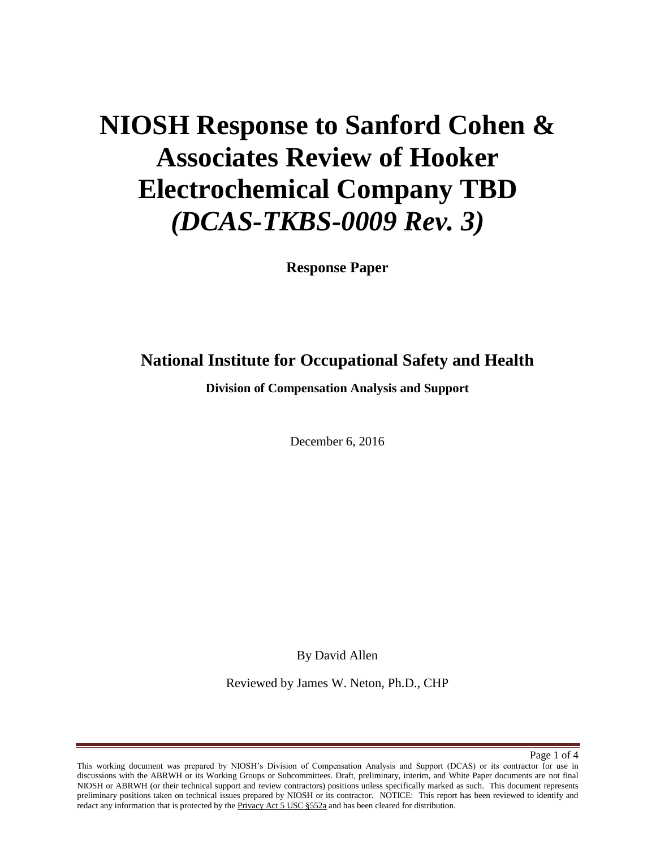# **NIOSH Response to Sanford Cohen & Associates Review of Hooker Electrochemical Company TBD**  *(DCAS-TKBS-0009 Rev. 3)*

**Response Paper** 

## **National Institute for Occupational Safety and Health**

**Division of Compensation Analysis and Support** 

December 6, 2016

By David Allen

Reviewed by James W. Neton, Ph.D., CHP

Page 1 of 4

This working document was prepared by NIOSH's Division of Compensation Analysis and Support (DCAS) or its contractor for use in discussions with the ABRWH or its Working Groups or Subcommittees. Draft, preliminary, interim, and White Paper documents are not final NIOSH or ABRWH (or their technical support and review contractors) positions unless specifically marked as such. This document represents preliminary positions taken on technical issues prepared by NIOSH or its contractor. NOTICE: This report has been reviewed to identify and redact any information that is protected by the Privacy Act 5 USC §552a and has been cleared for distribution.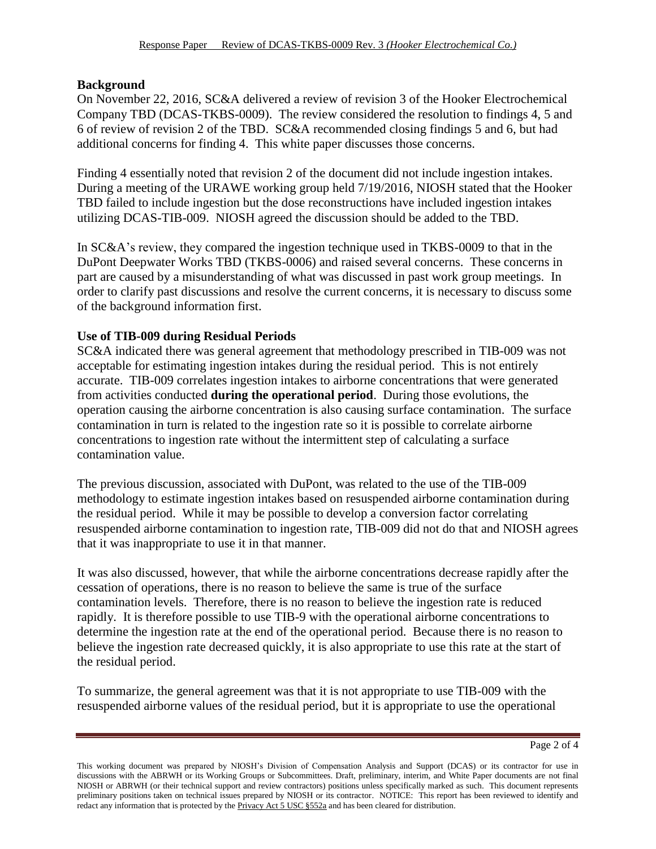#### **Background**

On November 22, 2016, SC&A delivered a review of revision 3 of the Hooker Electrochemical Company TBD (DCAS-TKBS-0009). The review considered the resolution to findings 4, 5 and 6 of review of revision 2 of the TBD. SC&A recommended closing findings 5 and 6, but had additional concerns for finding 4. This white paper discusses those concerns.

Finding 4 essentially noted that revision 2 of the document did not include ingestion intakes. During a meeting of the URAWE working group held 7/19/2016, NIOSH stated that the Hooker TBD failed to include ingestion but the dose reconstructions have included ingestion intakes utilizing DCAS-TIB-009. NIOSH agreed the discussion should be added to the TBD.

In SC&A's review, they compared the ingestion technique used in TKBS-0009 to that in the DuPont Deepwater Works TBD (TKBS-0006) and raised several concerns. These concerns in part are caused by a misunderstanding of what was discussed in past work group meetings. In order to clarify past discussions and resolve the current concerns, it is necessary to discuss some of the background information first.

#### **Use of TIB-009 during Residual Periods**

SC&A indicated there was general agreement that methodology prescribed in TIB-009 was not acceptable for estimating ingestion intakes during the residual period. This is not entirely accurate. TIB-009 correlates ingestion intakes to airborne concentrations that were generated from activities conducted **during the operational period**. During those evolutions, the operation causing the airborne concentration is also causing surface contamination. The surface contamination in turn is related to the ingestion rate so it is possible to correlate airborne concentrations to ingestion rate without the intermittent step of calculating a surface contamination value.

The previous discussion, associated with DuPont, was related to the use of the TIB-009 methodology to estimate ingestion intakes based on resuspended airborne contamination during the residual period. While it may be possible to develop a conversion factor correlating resuspended airborne contamination to ingestion rate, TIB-009 did not do that and NIOSH agrees that it was inappropriate to use it in that manner.

It was also discussed, however, that while the airborne concentrations decrease rapidly after the cessation of operations, there is no reason to believe the same is true of the surface contamination levels. Therefore, there is no reason to believe the ingestion rate is reduced rapidly. It is therefore possible to use TIB-9 with the operational airborne concentrations to determine the ingestion rate at the end of the operational period. Because there is no reason to believe the ingestion rate decreased quickly, it is also appropriate to use this rate at the start of the residual period.

To summarize, the general agreement was that it is not appropriate to use TIB-009 with the resuspended airborne values of the residual period, but it is appropriate to use the operational

Page 2 of 4

This working document was prepared by NIOSH's Division of Compensation Analysis and Support (DCAS) or its contractor for use in discussions with the ABRWH or its Working Groups or Subcommittees. Draft, preliminary, interim, and White Paper documents are not final NIOSH or ABRWH (or their technical support and review contractors) positions unless specifically marked as such. This document represents preliminary positions taken on technical issues prepared by NIOSH or its contractor. NOTICE: This report has been reviewed to identify and redact any information that is protected by the Privacy Act 5 USC §552a and has been cleared for distribution.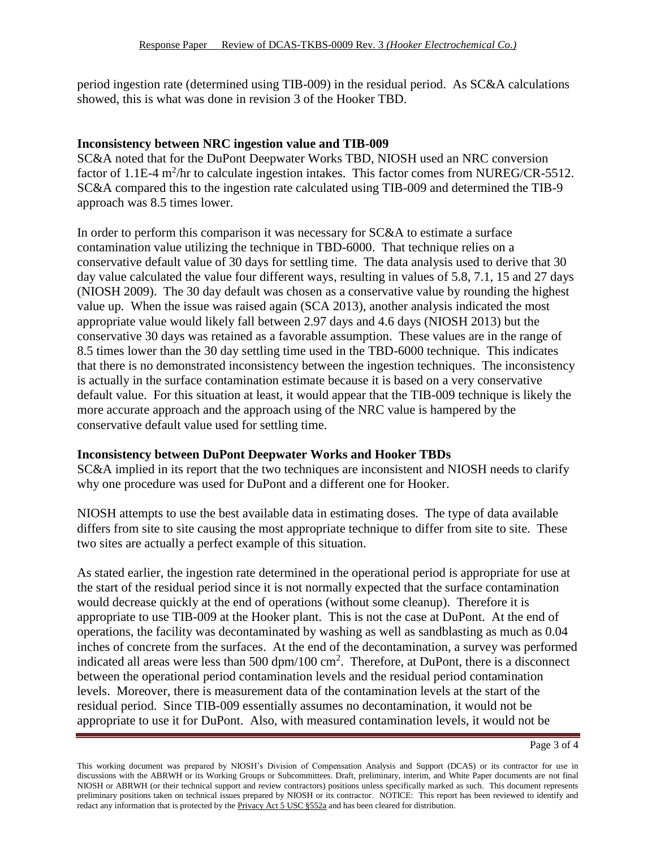period ingestion rate (determined using TIB-009) in the residual period. As SC&A calculations showed, this is what was done in revision 3 of the Hooker TBD.

#### **Inconsistency between NRC ingestion value and TIB-009**

SC&A noted that for the DuPont Deepwater Works TBD, NIOSH used an NRC conversion factor of 1.1E-4  $\text{m}^2/\text{hr}$  to calculate ingestion intakes. This factor comes from NUREG/CR-5512. SC&A compared this to the ingestion rate calculated using TIB-009 and determined the TIB-9 approach was 8.5 times lower.

In order to perform this comparison it was necessary for SC&A to estimate a surface contamination value utilizing the technique in TBD-6000. That technique relies on a conservative default value of 30 days for settling time. The data analysis used to derive that 30 day value calculated the value four different ways, resulting in values of 5.8, 7.1, 15 and 27 days (NIOSH 2009). The 30 day default was chosen as a conservative value by rounding the highest value up. When the issue was raised again (SCA 2013), another analysis indicated the most appropriate value would likely fall between 2.97 days and 4.6 days (NIOSH 2013) but the conservative 30 days was retained as a favorable assumption. These values are in the range of 8.5 times lower than the 30 day settling time used in the TBD-6000 technique. This indicates that there is no demonstrated inconsistency between the ingestion techniques. The inconsistency is actually in the surface contamination estimate because it is based on a very conservative default value. For this situation at least, it would appear that the TIB-009 technique is likely the more accurate approach and the approach using of the NRC value is hampered by the conservative default value used for settling time.

#### **Inconsistency between DuPont Deepwater Works and Hooker TBDs**

SC&A implied in its report that the two techniques are inconsistent and NIOSH needs to clarify why one procedure was used for DuPont and a different one for Hooker.

NIOSH attempts to use the best available data in estimating doses. The type of data available differs from site to site causing the most appropriate technique to differ from site to site. These two sites are actually a perfect example of this situation.

As stated earlier, the ingestion rate determined in the operational period is appropriate for use at the start of the residual period since it is not normally expected that the surface contamination would decrease quickly at the end of operations (without some cleanup). Therefore it is appropriate to use TIB-009 at the Hooker plant. This is not the case at DuPont. At the end of operations, the facility was decontaminated by washing as well as sandblasting as much as 0.04 inches of concrete from the surfaces. At the end of the decontamination, a survey was performed indicated all areas were less than  $500 \text{ dpm}/100 \text{ cm}^2$ . Therefore, at DuPont, there is a disconnect between the operational period contamination levels and the residual period contamination levels. Moreover, there is measurement data of the contamination levels at the start of the residual period. Since TIB-009 essentially assumes no decontamination, it would not be appropriate to use it for DuPont. Also, with measured contamination levels, it would not be

Page 3 of 4

This working document was prepared by NIOSH's Division of Compensation Analysis and Support (DCAS) or its contractor for use in discussions with the ABRWH or its Working Groups or Subcommittees. Draft, preliminary, interim, and White Paper documents are not final NIOSH or ABRWH (or their technical support and review contractors) positions unless specifically marked as such. This document represents preliminary positions taken on technical issues prepared by NIOSH or its contractor. NOTICE: This report has been reviewed to identify and redact any information that is protected by the Privacy Act 5 USC §552a and has been cleared for distribution.